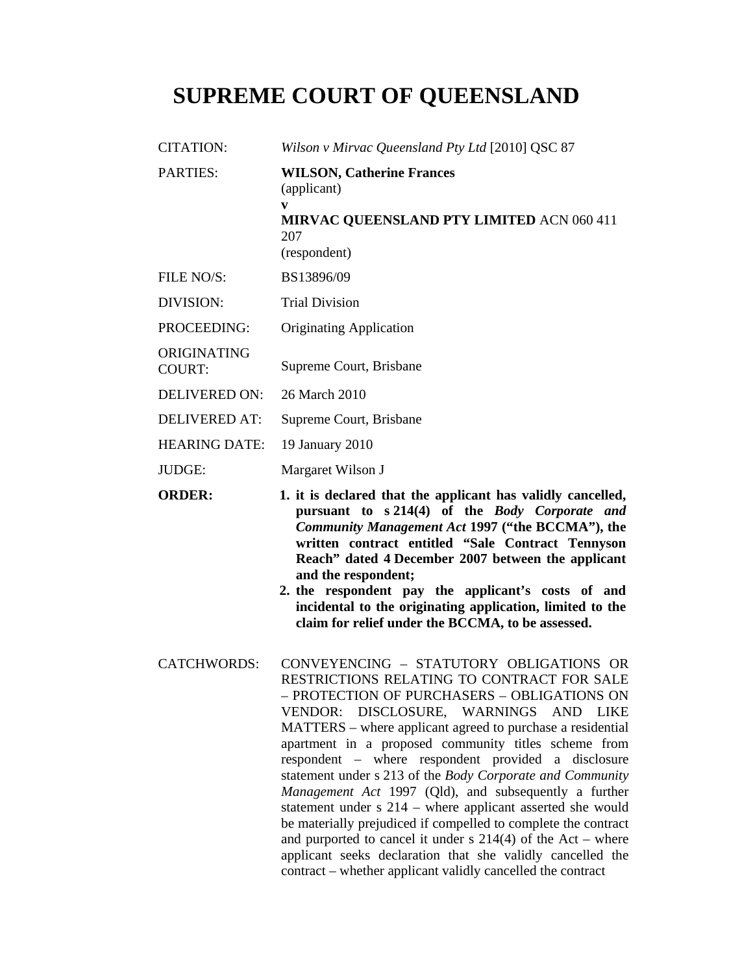# **SUPREME COURT OF QUEENSLAND**

| CITATION:             | Wilson v Mirvac Queensland Pty Ltd [2010] QSC 87                                                                                |
|-----------------------|---------------------------------------------------------------------------------------------------------------------------------|
| <b>PARTIES:</b>       | <b>WILSON, Catherine Frances</b><br>(applicant)<br>V<br><b>MIRVAC QUEENSLAND PTY LIMITED ACN 060 411</b><br>207<br>(respondent) |
| FILE NO/S:            | BS13896/09                                                                                                                      |
| DIVISION:             | <b>Trial Division</b>                                                                                                           |
| PROCEEDING:           | <b>Originating Application</b>                                                                                                  |
| ORIGINATING<br>COURT: | Supreme Court, Brisbane                                                                                                         |
| DELIVERED ON:         | 26 March 2010                                                                                                                   |
| DELIVERED AT:         | Supreme Court, Brisbane                                                                                                         |
| <b>HEARING DATE:</b>  | 19 January 2010                                                                                                                 |
| JUDGE:                | Margaret Wilson J                                                                                                               |

- **ORDER: 1. it is declared that the applicant has validly cancelled, pursuant to s 214(4) of the** *Body Corporate and Community Management Act* **1997 ("the BCCMA"), the written contract entitled "Sale Contract Tennyson Reach" dated 4 December 2007 between the applicant and the respondent;** 
	- **2. the respondent pay the applicant's costs of and incidental to the originating application, limited to the claim for relief under the BCCMA, to be assessed.**
- CATCHWORDS: CONVEYENCING STATUTORY OBLIGATIONS OR RESTRICTIONS RELATING TO CONTRACT FOR SALE – PROTECTION OF PURCHASERS – OBLIGATIONS ON VENDOR: DISCLOSURE, WARNINGS AND LIKE MATTERS – where applicant agreed to purchase a residential apartment in a proposed community titles scheme from respondent – where respondent provided a disclosure statement under s 213 of the *Body Corporate and Community Management Act* 1997 (Qld), and subsequently a further statement under s 214 – where applicant asserted she would be materially prejudiced if compelled to complete the contract and purported to cancel it under  $s$  214(4) of the Act – where applicant seeks declaration that she validly cancelled the contract – whether applicant validly cancelled the contract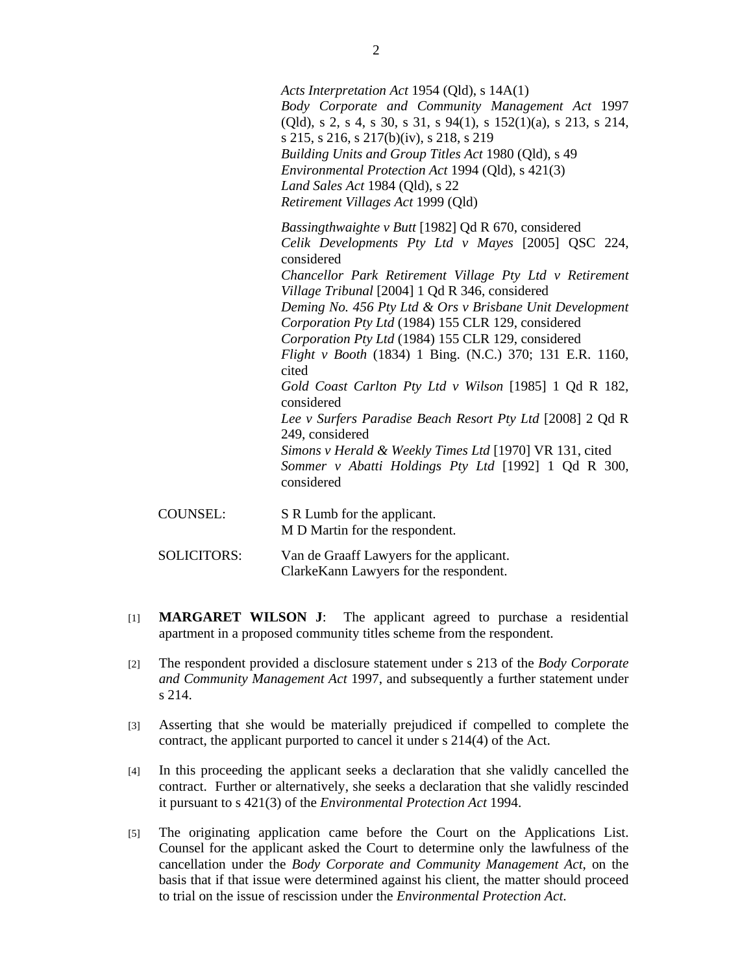|                 | Acts Interpretation Act 1954 (Qld), s 14A(1)<br>Body Corporate and Community Management Act 1997<br>$(Qld)$ , s 2, s 4, s 30, s 31, s 94(1), s 152(1)(a), s 213, s 214,<br>s 215, s 216, s 217(b)(iv), s 218, s 219<br>Building Units and Group Titles Act 1980 (Qld), s 49<br><i>Environmental Protection Act 1994 (Qld), s 421(3)</i><br>Land Sales Act 1984 (Qld), s 22<br>Retirement Villages Act 1999 (Qld)                                                                                                                                                                                                                                                                                            |
|-----------------|-------------------------------------------------------------------------------------------------------------------------------------------------------------------------------------------------------------------------------------------------------------------------------------------------------------------------------------------------------------------------------------------------------------------------------------------------------------------------------------------------------------------------------------------------------------------------------------------------------------------------------------------------------------------------------------------------------------|
|                 | <i>Bassingthwaighte v Butt</i> [1982] Qd R 670, considered<br>Celik Developments Pty Ltd v Mayes [2005] QSC 224,<br>considered<br>Chancellor Park Retirement Village Pty Ltd v Retirement<br>Village Tribunal [2004] 1 Qd R 346, considered<br>Deming No. 456 Pty Ltd & Ors v Brisbane Unit Development<br>Corporation Pty Ltd (1984) 155 CLR 129, considered<br>Corporation Pty Ltd (1984) 155 CLR 129, considered<br>Flight v Booth (1834) 1 Bing. (N.C.) 370; 131 E.R. 1160,<br>cited<br>Gold Coast Carlton Pty Ltd v Wilson [1985] 1 Qd R 182,<br>considered<br>Lee v Surfers Paradise Beach Resort Pty Ltd [2008] 2 Qd R<br>249, considered<br>Simons v Herald & Weekly Times Ltd [1970] VR 131, cited |
|                 | Sommer v Abatti Holdings Pty Ltd [1992] 1 Qd R 300,<br>considered                                                                                                                                                                                                                                                                                                                                                                                                                                                                                                                                                                                                                                           |
| <b>COUNSEL:</b> | S R Lumb for the applicant.<br>M D Martin for the respondent.                                                                                                                                                                                                                                                                                                                                                                                                                                                                                                                                                                                                                                               |

| <b>SOLICITORS:</b> | Van de Graaff Lawyers for the applicant. |
|--------------------|------------------------------------------|
|                    | Clarke Kann Lawyers for the respondent.  |

- [1] **MARGARET WILSON J**: The applicant agreed to purchase a residential apartment in a proposed community titles scheme from the respondent.
- [2] The respondent provided a disclosure statement under s 213 of the *Body Corporate and Community Management Act* 1997, and subsequently a further statement under s 214.
- [3] Asserting that she would be materially prejudiced if compelled to complete the contract, the applicant purported to cancel it under s 214(4) of the Act.
- [4] In this proceeding the applicant seeks a declaration that she validly cancelled the contract. Further or alternatively, she seeks a declaration that she validly rescinded it pursuant to s 421(3) of the *Environmental Protection Act* 1994.
- [5] The originating application came before the Court on the Applications List. Counsel for the applicant asked the Court to determine only the lawfulness of the cancellation under the *Body Corporate and Community Management Act*, on the basis that if that issue were determined against his client, the matter should proceed to trial on the issue of rescission under the *Environmental Protection Act*.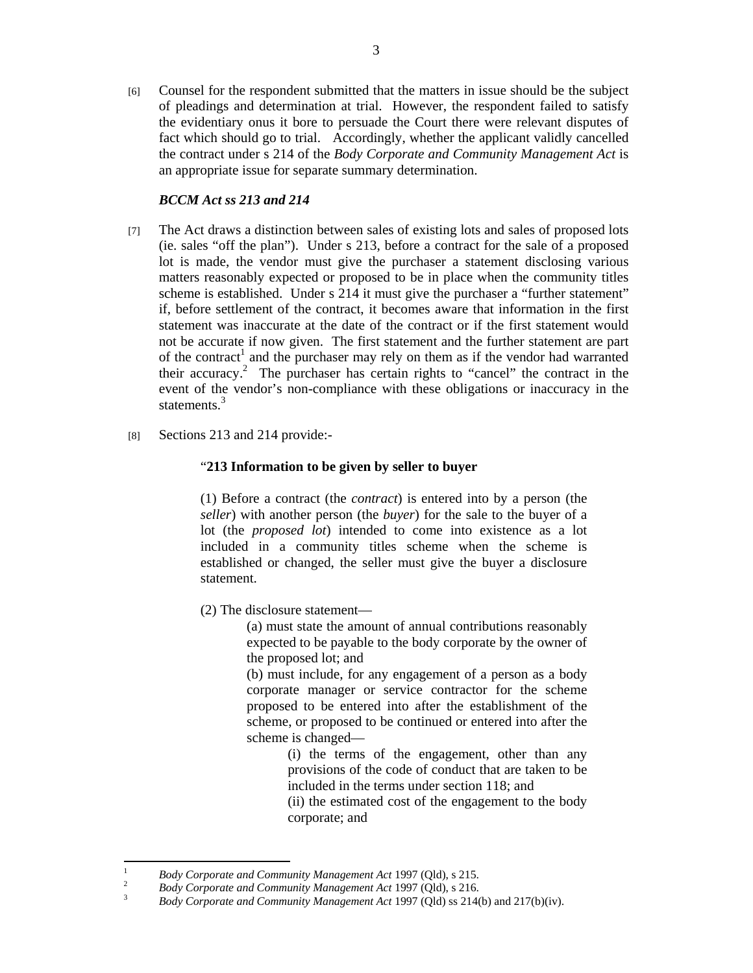[6] Counsel for the respondent submitted that the matters in issue should be the subject of pleadings and determination at trial. However, the respondent failed to satisfy the evidentiary onus it bore to persuade the Court there were relevant disputes of fact which should go to trial. Accordingly, whether the applicant validly cancelled the contract under s 214 of the *Body Corporate and Community Management Act* is an appropriate issue for separate summary determination.

# *BCCM Act ss 213 and 214*

- [7] The Act draws a distinction between sales of existing lots and sales of proposed lots (ie. sales "off the plan"). Under s 213, before a contract for the sale of a proposed lot is made, the vendor must give the purchaser a statement disclosing various matters reasonably expected or proposed to be in place when the community titles scheme is established. Under s 214 it must give the purchaser a "further statement" if, before settlement of the contract, it becomes aware that information in the first statement was inaccurate at the date of the contract or if the first statement would not be accurate if now given. The first statement and the further statement are part of the contract<sup>1</sup> and the purchaser may rely on them as if the vendor had warranted their accuracy.<sup>2</sup> The purchaser has certain rights to "cancel" the contract in the event of the vendor's non-compliance with these obligations or inaccuracy in the statements.<sup>3</sup>
- [8] Sections 213 and 214 provide:-

## "**213 Information to be given by seller to buyer**

(1) Before a contract (the *contract*) is entered into by a person (the *seller*) with another person (the *buyer*) for the sale to the buyer of a lot (the *proposed lot*) intended to come into existence as a lot included in a community titles scheme when the scheme is established or changed, the seller must give the buyer a disclosure statement.

(2) The disclosure statement—

(a) must state the amount of annual contributions reasonably expected to be payable to the body corporate by the owner of the proposed lot; and

(b) must include, for any engagement of a person as a body corporate manager or service contractor for the scheme proposed to be entered into after the establishment of the scheme, or proposed to be continued or entered into after the scheme is changed—

> (i) the terms of the engagement, other than any provisions of the code of conduct that are taken to be included in the terms under section 118; and

> (ii) the estimated cost of the engagement to the body corporate; and

|<br>|<br>|

<sup>&</sup>lt;sup>1</sup> *Body Corporate and Community Management Act* 1997 (Qld), s 215.

<sup>&</sup>lt;sup>2</sup> *Body Corporate and Community Management Act* 1997 (Qld), s 216.

*Body Corporate and Community Management Act* 1997 (Qld) ss 214(b) and 217(b)(iv).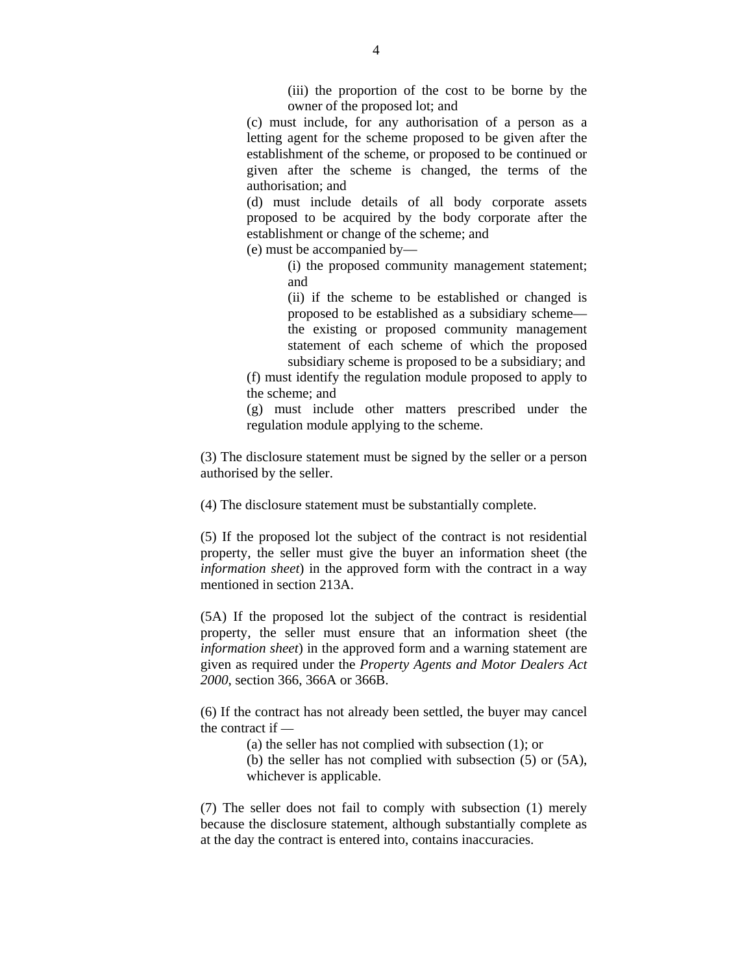(iii) the proportion of the cost to be borne by the owner of the proposed lot; and

(c) must include, for any authorisation of a person as a letting agent for the scheme proposed to be given after the establishment of the scheme, or proposed to be continued or given after the scheme is changed, the terms of the authorisation; and

(d) must include details of all body corporate assets proposed to be acquired by the body corporate after the establishment or change of the scheme; and

(e) must be accompanied by—

 (i) the proposed community management statement; and

 (ii) if the scheme to be established or changed is proposed to be established as a subsidiary scheme the existing or proposed community management statement of each scheme of which the proposed subsidiary scheme is proposed to be a subsidiary; and

(f) must identify the regulation module proposed to apply to the scheme; and

(g) must include other matters prescribed under the regulation module applying to the scheme.

(3) The disclosure statement must be signed by the seller or a person authorised by the seller.

(4) The disclosure statement must be substantially complete.

(5) If the proposed lot the subject of the contract is not residential property, the seller must give the buyer an information sheet (the *information sheet*) in the approved form with the contract in a way mentioned in section 213A.

(5A) If the proposed lot the subject of the contract is residential property, the seller must ensure that an information sheet (the *information sheet*) in the approved form and a warning statement are given as required under the *Property Agents and Motor Dealers Act 2000*, section 366, 366A or 366B.

(6) If the contract has not already been settled, the buyer may cancel the contract if —

(a) the seller has not complied with subsection (1); or

 (b) the seller has not complied with subsection (5) or (5A), whichever is applicable.

(7) The seller does not fail to comply with subsection (1) merely because the disclosure statement, although substantially complete as at the day the contract is entered into, contains inaccuracies.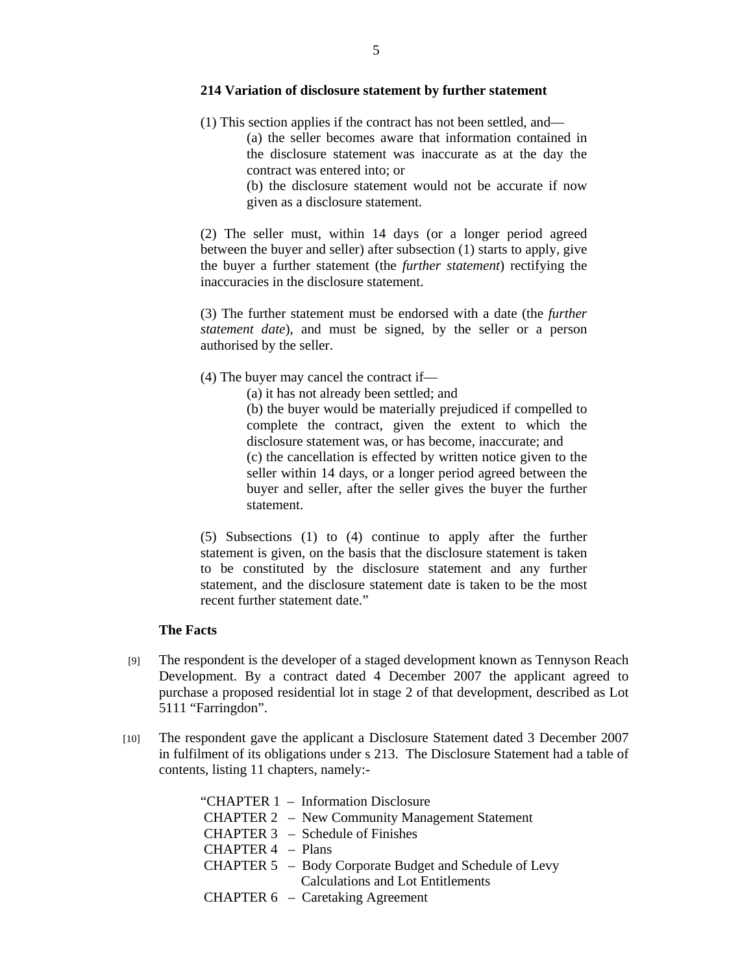#### **214 Variation of disclosure statement by further statement**

- (1) This section applies if the contract has not been settled, and—
	- (a) the seller becomes aware that information contained in the disclosure statement was inaccurate as at the day the contract was entered into; or
	- (b) the disclosure statement would not be accurate if now given as a disclosure statement.

(2) The seller must, within 14 days (or a longer period agreed between the buyer and seller) after subsection (1) starts to apply, give the buyer a further statement (the *further statement*) rectifying the inaccuracies in the disclosure statement.

(3) The further statement must be endorsed with a date (the *further statement date*), and must be signed, by the seller or a person authorised by the seller.

(4) The buyer may cancel the contract if—

(a) it has not already been settled; and

 (b) the buyer would be materially prejudiced if compelled to complete the contract, given the extent to which the disclosure statement was, or has become, inaccurate; and (c) the cancellation is effected by written notice given to the seller within 14 days, or a longer period agreed between the buyer and seller, after the seller gives the buyer the further statement.

(5) Subsections (1) to (4) continue to apply after the further statement is given, on the basis that the disclosure statement is taken to be constituted by the disclosure statement and any further statement, and the disclosure statement date is taken to be the most recent further statement date."

## **The Facts**

- [9] The respondent is the developer of a staged development known as Tennyson Reach Development. By a contract dated 4 December 2007 the applicant agreed to purchase a proposed residential lot in stage 2 of that development, described as Lot 5111 "Farringdon".
- [10] The respondent gave the applicant a Disclosure Statement dated 3 December 2007 in fulfilment of its obligations under s 213. The Disclosure Statement had a table of contents, listing 11 chapters, namely:-

|                     | "CHAPTER 1 - Information Disclosure                    |
|---------------------|--------------------------------------------------------|
|                     | <b>CHAPTER 2</b> – New Community Management Statement  |
|                     | CHAPTER $3$ – Schedule of Finishes                     |
| CHAPTER $4$ – Plans |                                                        |
|                     | CHAPTER 5 - Body Corporate Budget and Schedule of Levy |
|                     | <b>Calculations and Lot Entitlements</b>               |
|                     | CHAPTER 6 - Caretaking Agreement                       |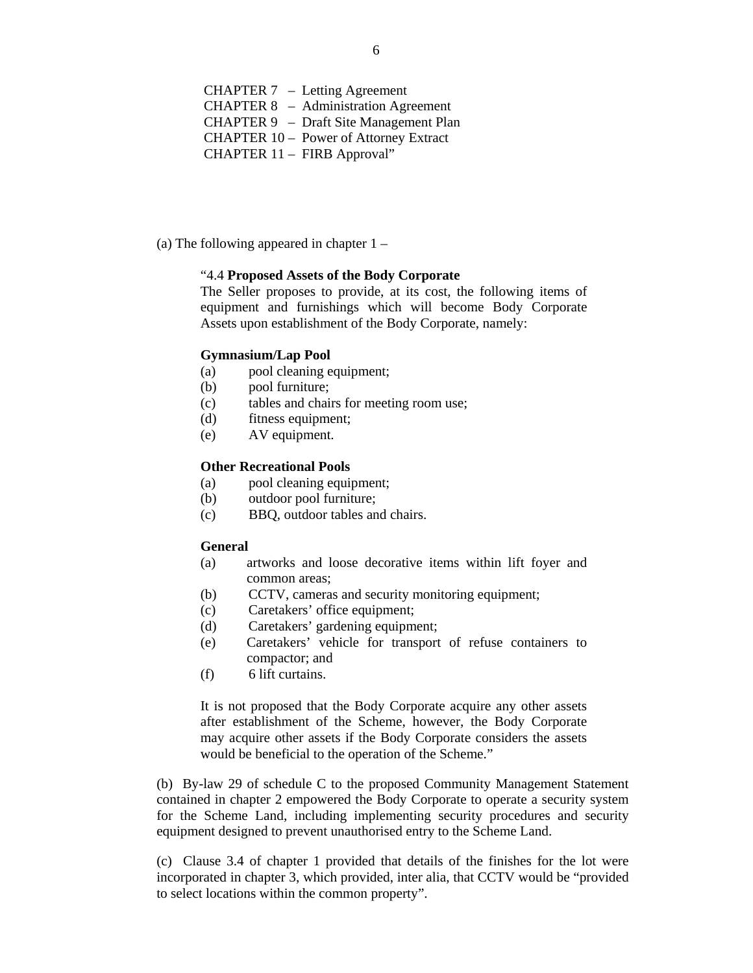CHAPTER 7 – Letting Agreement CHAPTER 8 – Administration Agreement CHAPTER 9 – Draft Site Management Plan CHAPTER 10 – Power of Attorney Extract CHAPTER 11 – FIRB Approval"

(a) The following appeared in chapter 1 –

#### "4.4 **Proposed Assets of the Body Corporate**

The Seller proposes to provide, at its cost, the following items of equipment and furnishings which will become Body Corporate Assets upon establishment of the Body Corporate, namely:

#### **Gymnasium/Lap Pool**

- (a) pool cleaning equipment;
- (b) pool furniture;
- (c) tables and chairs for meeting room use;
- (d) fitness equipment;
- (e) AV equipment.

#### **Other Recreational Pools**

- (a) pool cleaning equipment;
- (b) outdoor pool furniture;
- (c) BBQ, outdoor tables and chairs.

#### **General**

- (a) artworks and loose decorative items within lift foyer and common areas;
- (b) CCTV, cameras and security monitoring equipment;
- (c) Caretakers' office equipment;
- (d) Caretakers' gardening equipment;
- (e) Caretakers' vehicle for transport of refuse containers to compactor; and
- (f) 6 lift curtains.

It is not proposed that the Body Corporate acquire any other assets after establishment of the Scheme, however, the Body Corporate may acquire other assets if the Body Corporate considers the assets would be beneficial to the operation of the Scheme."

(b) By-law 29 of schedule C to the proposed Community Management Statement contained in chapter 2 empowered the Body Corporate to operate a security system for the Scheme Land, including implementing security procedures and security equipment designed to prevent unauthorised entry to the Scheme Land.

(c) Clause 3.4 of chapter 1 provided that details of the finishes for the lot were incorporated in chapter 3, which provided, inter alia, that CCTV would be "provided to select locations within the common property".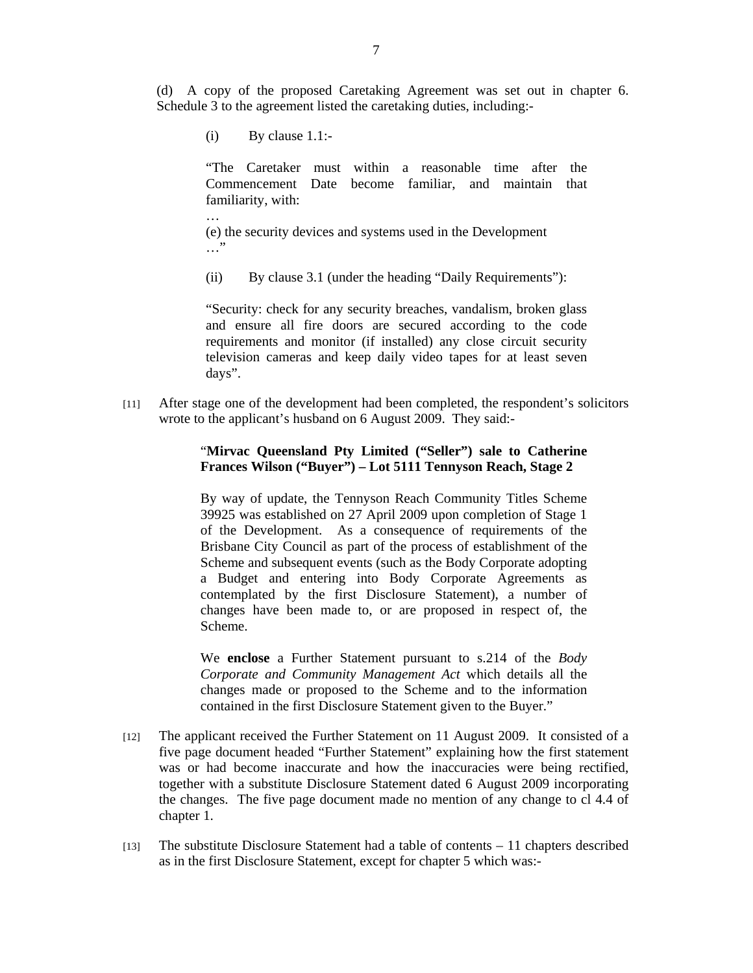(d) A copy of the proposed Caretaking Agreement was set out in chapter 6. Schedule 3 to the agreement listed the caretaking duties, including:-

 $(i)$  By clause 1.1:-

…

"The Caretaker must within a reasonable time after the Commencement Date become familiar, and maintain that familiarity, with:

(e) the security devices and systems used in the Development …"

(ii) By clause 3.1 (under the heading "Daily Requirements"):

"Security: check for any security breaches, vandalism, broken glass and ensure all fire doors are secured according to the code requirements and monitor (if installed) any close circuit security television cameras and keep daily video tapes for at least seven days".

[11] After stage one of the development had been completed, the respondent's solicitors wrote to the applicant's husband on 6 August 2009. They said:-

## "**Mirvac Queensland Pty Limited ("Seller") sale to Catherine Frances Wilson ("Buyer") – Lot 5111 Tennyson Reach, Stage 2**

By way of update, the Tennyson Reach Community Titles Scheme 39925 was established on 27 April 2009 upon completion of Stage 1 of the Development. As a consequence of requirements of the Brisbane City Council as part of the process of establishment of the Scheme and subsequent events (such as the Body Corporate adopting a Budget and entering into Body Corporate Agreements as contemplated by the first Disclosure Statement), a number of changes have been made to, or are proposed in respect of, the Scheme.

We **enclose** a Further Statement pursuant to s.214 of the *Body Corporate and Community Management Act* which details all the changes made or proposed to the Scheme and to the information contained in the first Disclosure Statement given to the Buyer."

- [12] The applicant received the Further Statement on 11 August 2009. It consisted of a five page document headed "Further Statement" explaining how the first statement was or had become inaccurate and how the inaccuracies were being rectified, together with a substitute Disclosure Statement dated 6 August 2009 incorporating the changes. The five page document made no mention of any change to cl 4.4 of chapter 1.
- [13] The substitute Disclosure Statement had a table of contents 11 chapters described as in the first Disclosure Statement, except for chapter 5 which was:-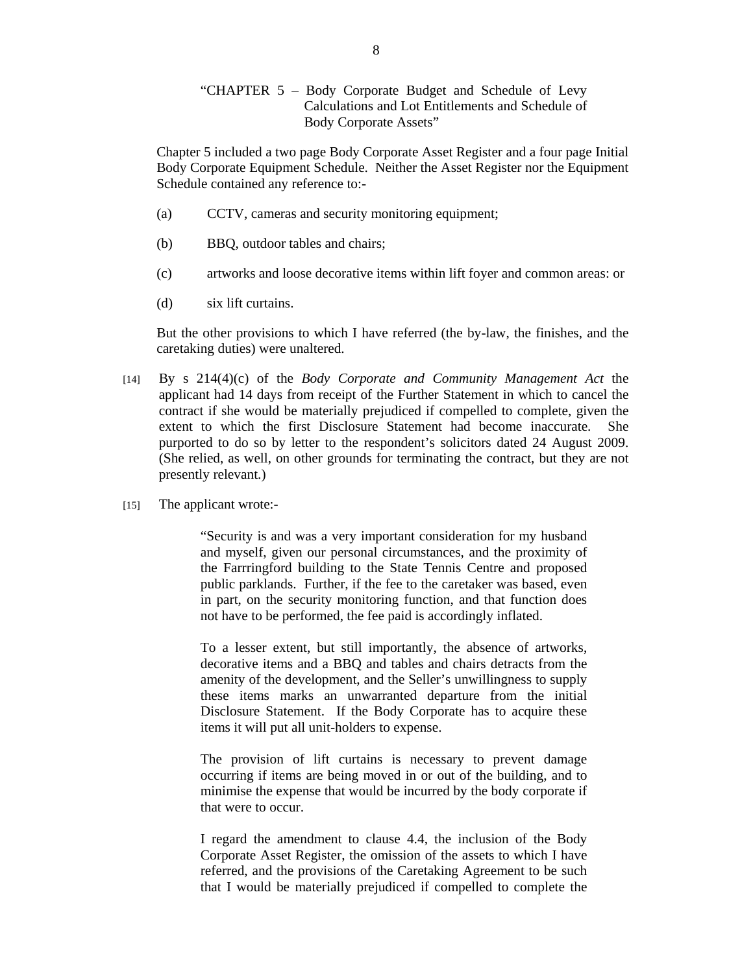## "CHAPTER 5 – Body Corporate Budget and Schedule of Levy Calculations and Lot Entitlements and Schedule of Body Corporate Assets"

Chapter 5 included a two page Body Corporate Asset Register and a four page Initial Body Corporate Equipment Schedule. Neither the Asset Register nor the Equipment Schedule contained any reference to:-

- (a) CCTV, cameras and security monitoring equipment;
- (b) BBQ, outdoor tables and chairs;
- (c) artworks and loose decorative items within lift foyer and common areas: or
- (d) six lift curtains.

But the other provisions to which I have referred (the by-law, the finishes, and the caretaking duties) were unaltered.

- [14] By s 214(4)(c) of the *Body Corporate and Community Management Act* the applicant had 14 days from receipt of the Further Statement in which to cancel the contract if she would be materially prejudiced if compelled to complete, given the extent to which the first Disclosure Statement had become inaccurate. She purported to do so by letter to the respondent's solicitors dated 24 August 2009. (She relied, as well, on other grounds for terminating the contract, but they are not presently relevant.)
- [15] The applicant wrote:-

"Security is and was a very important consideration for my husband and myself, given our personal circumstances, and the proximity of the Farrringford building to the State Tennis Centre and proposed public parklands. Further, if the fee to the caretaker was based, even in part, on the security monitoring function, and that function does not have to be performed, the fee paid is accordingly inflated.

To a lesser extent, but still importantly, the absence of artworks, decorative items and a BBQ and tables and chairs detracts from the amenity of the development, and the Seller's unwillingness to supply these items marks an unwarranted departure from the initial Disclosure Statement. If the Body Corporate has to acquire these items it will put all unit-holders to expense.

The provision of lift curtains is necessary to prevent damage occurring if items are being moved in or out of the building, and to minimise the expense that would be incurred by the body corporate if that were to occur.

I regard the amendment to clause 4.4, the inclusion of the Body Corporate Asset Register, the omission of the assets to which I have referred, and the provisions of the Caretaking Agreement to be such that I would be materially prejudiced if compelled to complete the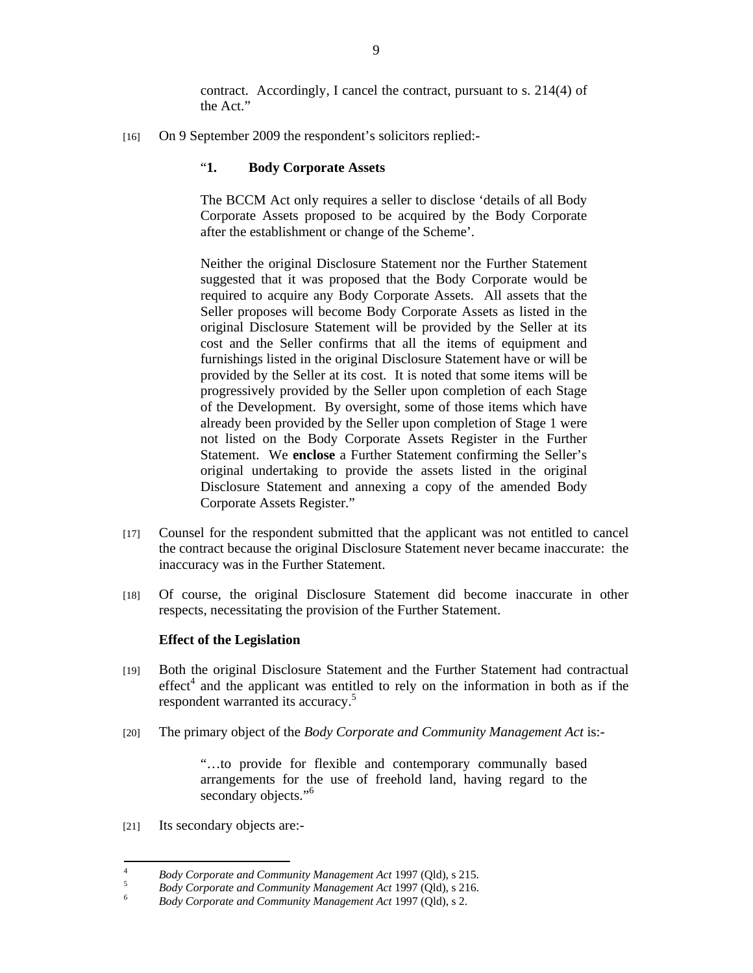contract. Accordingly, I cancel the contract, pursuant to s. 214(4) of the Act."

[16] On 9 September 2009 the respondent's solicitors replied:-

## "**1. Body Corporate Assets**

The BCCM Act only requires a seller to disclose 'details of all Body Corporate Assets proposed to be acquired by the Body Corporate after the establishment or change of the Scheme'.

Neither the original Disclosure Statement nor the Further Statement suggested that it was proposed that the Body Corporate would be required to acquire any Body Corporate Assets. All assets that the Seller proposes will become Body Corporate Assets as listed in the original Disclosure Statement will be provided by the Seller at its cost and the Seller confirms that all the items of equipment and furnishings listed in the original Disclosure Statement have or will be provided by the Seller at its cost. It is noted that some items will be progressively provided by the Seller upon completion of each Stage of the Development. By oversight, some of those items which have already been provided by the Seller upon completion of Stage 1 were not listed on the Body Corporate Assets Register in the Further Statement. We **enclose** a Further Statement confirming the Seller's original undertaking to provide the assets listed in the original Disclosure Statement and annexing a copy of the amended Body Corporate Assets Register."

- [17] Counsel for the respondent submitted that the applicant was not entitled to cancel the contract because the original Disclosure Statement never became inaccurate: the inaccuracy was in the Further Statement.
- [18] Of course, the original Disclosure Statement did become inaccurate in other respects, necessitating the provision of the Further Statement.

## **Effect of the Legislation**

- [19] Both the original Disclosure Statement and the Further Statement had contractual  $effect<sup>4</sup>$  and the applicant was entitled to rely on the information in both as if the respondent warranted its accuracy.<sup>5</sup>
- [20] The primary object of the *Body Corporate and Community Management Act* is:-

"…to provide for flexible and contemporary communally based arrangements for the use of freehold land, having regard to the secondary objects."<sup>6</sup>

[21] Its secondary objects are:-

 $\frac{1}{4}$ <sup>4</sup> *Body Corporate and Community Management Act* 1997 (Qld), s 215.

<sup>&</sup>lt;sup>5</sup> *Body Corporate and Community Management Act* 1997 (Qld), s 216.

*Body Corporate and Community Management Act* 1997 (Qld), s 2.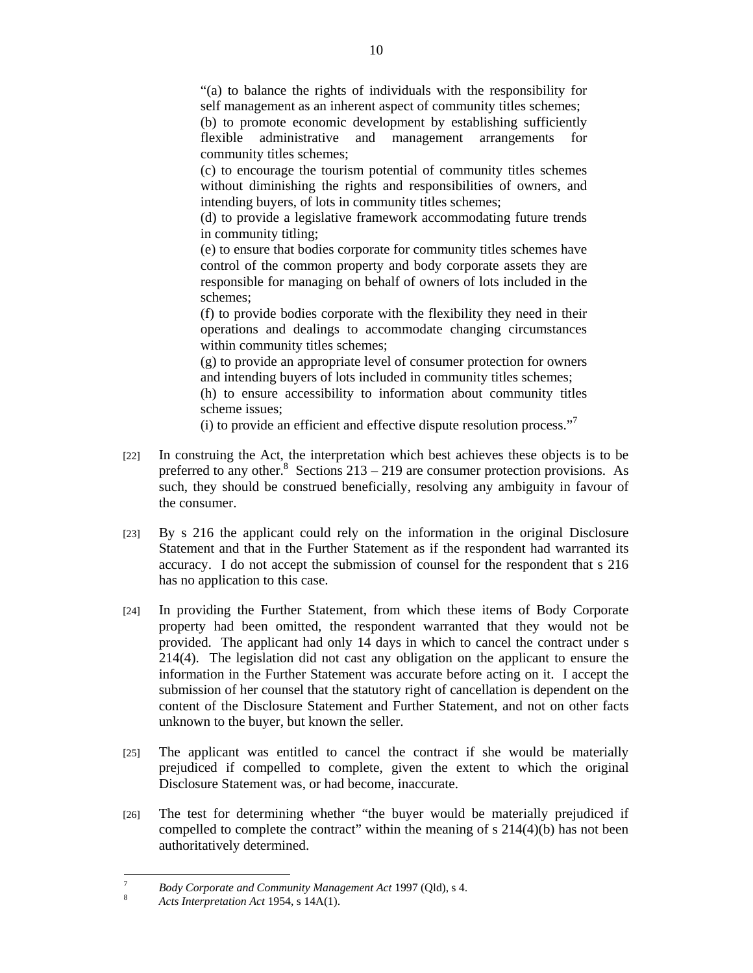"(a) to balance the rights of individuals with the responsibility for self management as an inherent aspect of community titles schemes;

(b) to promote economic development by establishing sufficiently flexible administrative and management arrangements for community titles schemes;

(c) to encourage the tourism potential of community titles schemes without diminishing the rights and responsibilities of owners, and intending buyers, of lots in community titles schemes;

(d) to provide a legislative framework accommodating future trends in community titling;

(e) to ensure that bodies corporate for community titles schemes have control of the common property and body corporate assets they are responsible for managing on behalf of owners of lots included in the schemes;

(f) to provide bodies corporate with the flexibility they need in their operations and dealings to accommodate changing circumstances within community titles schemes;

(g) to provide an appropriate level of consumer protection for owners and intending buyers of lots included in community titles schemes;

(h) to ensure accessibility to information about community titles scheme issues;

(i) to provide an efficient and effective dispute resolution process."7

- [22] In construing the Act, the interpretation which best achieves these objects is to be preferred to any other.<sup>8</sup> Sections 213 – 219 are consumer protection provisions. As such, they should be construed beneficially, resolving any ambiguity in favour of the consumer.
- [23] By s 216 the applicant could rely on the information in the original Disclosure Statement and that in the Further Statement as if the respondent had warranted its accuracy. I do not accept the submission of counsel for the respondent that s 216 has no application to this case.
- [24] In providing the Further Statement, from which these items of Body Corporate property had been omitted, the respondent warranted that they would not be provided. The applicant had only 14 days in which to cancel the contract under s 214(4). The legislation did not cast any obligation on the applicant to ensure the information in the Further Statement was accurate before acting on it. I accept the submission of her counsel that the statutory right of cancellation is dependent on the content of the Disclosure Statement and Further Statement, and not on other facts unknown to the buyer, but known the seller.
- [25] The applicant was entitled to cancel the contract if she would be materially prejudiced if compelled to complete, given the extent to which the original Disclosure Statement was, or had become, inaccurate.
- [26] The test for determining whether "the buyer would be materially prejudiced if compelled to complete the contract" within the meaning of s 214(4)(b) has not been authoritatively determined.

<sup>-&</sup>lt;br>7 <sup>7</sup> Body Corporate and Community Management Act 1997 (Qld), s 4.

*Acts Interpretation Act* 1954, s 14A(1).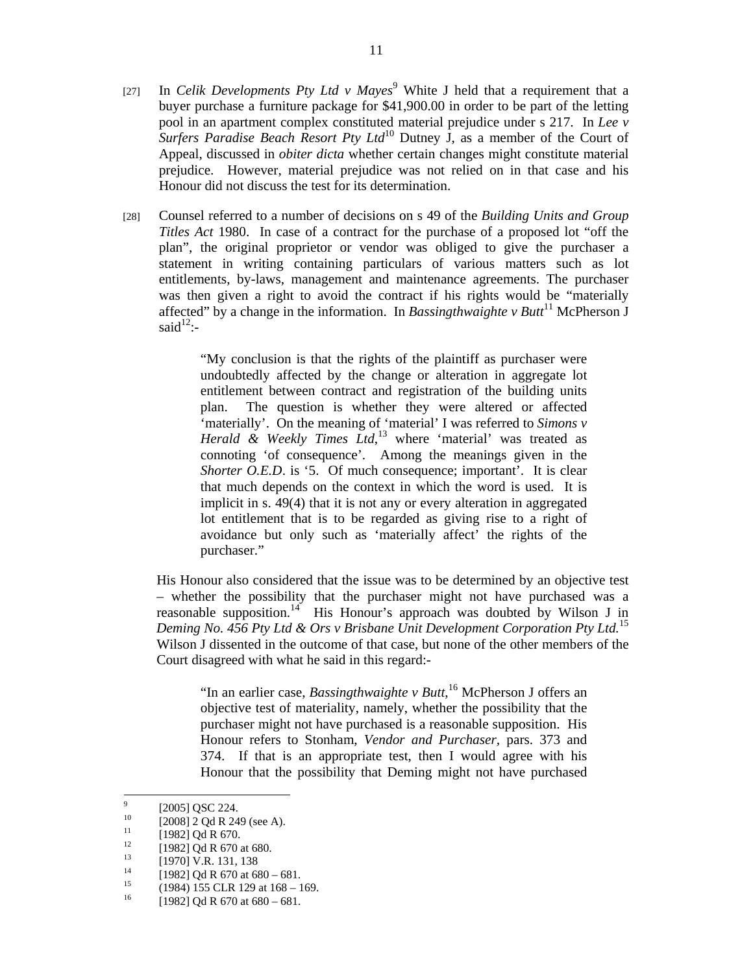- [27] In *Celik Developments Pty Ltd v Mayes*<sup>9</sup> White J held that a requirement that a buyer purchase a furniture package for \$41,900.00 in order to be part of the letting pool in an apartment complex constituted material prejudice under s 217. In *Lee v*  <sup>1</sup><br>*Surfers Paradise Beach Resort Pty Ltd*<sup>10</sup> Dutney J, as a member of the Court of Appeal, discussed in *obiter dicta* whether certain changes might constitute material prejudice. However, material prejudice was not relied on in that case and his Honour did not discuss the test for its determination.
- [28] Counsel referred to a number of decisions on s 49 of the *Building Units and Group Titles Act* 1980. In case of a contract for the purchase of a proposed lot "off the plan", the original proprietor or vendor was obliged to give the purchaser a statement in writing containing particulars of various matters such as lot entitlements, by-laws, management and maintenance agreements. The purchaser was then given a right to avoid the contract if his rights would be "materially affected" by a change in the information. In *Bassingthwaighte v Butt*<sup>11</sup> McPherson J said $^{12}$ :-

"My conclusion is that the rights of the plaintiff as purchaser were undoubtedly affected by the change or alteration in aggregate lot entitlement between contract and registration of the building units plan. The question is whether they were altered or affected 'materially'. On the meaning of 'material' I was referred to *Simons v Herald & Weekly Times Ltd*, 13 where 'material' was treated as connoting 'of consequence'. Among the meanings given in the *Shorter O.E.D.* is '5. Of much consequence; important'. It is clear that much depends on the context in which the word is used. It is implicit in s. 49(4) that it is not any or every alteration in aggregated lot entitlement that is to be regarded as giving rise to a right of avoidance but only such as 'materially affect' the rights of the purchaser."

His Honour also considered that the issue was to be determined by an objective test – whether the possibility that the purchaser might not have purchased was a reasonable supposition.<sup>14</sup> His Honour's approach was doubted by Wilson J in *Deming No. 456 Pty Ltd & Ors v Brisbane Unit Development Corporation Pty Ltd.*15 Wilson J dissented in the outcome of that case, but none of the other members of the Court disagreed with what he said in this regard:-

"In an earlier case, *Bassingthwaighte v Butt*, 16 McPherson J offers an objective test of materiality, namely, whether the possibility that the purchaser might not have purchased is a reasonable supposition. His Honour refers to Stonham, *Vendor and Purchaser,* pars. 373 and 374. If that is an appropriate test, then I would agree with his Honour that the possibility that Deming might not have purchased

 $\overline{a}$ 

<sup>9</sup>  $^{9}$  [2005] QSC 224.

<sup>&</sup>lt;sup>10</sup> [2008] 2 Qd R 249 (see A).

 $^{11}$  [1982] Qd R 670.

<sup>&</sup>lt;sup>12</sup> [1982] Qd R 670 at 680.

 $13$  [1970] V.R. 131, 138

<sup>&</sup>lt;sup>14</sup> [1982] Qd R 670 at 680 – 681.

<sup>&</sup>lt;sup>15</sup> (1984) 155 CLR 129 at 168 – 169.<br><sup>16</sup> 110831 Od B 670 at 680 - 681

<sup>[1982]</sup> Qd R 670 at  $680 - 681$ .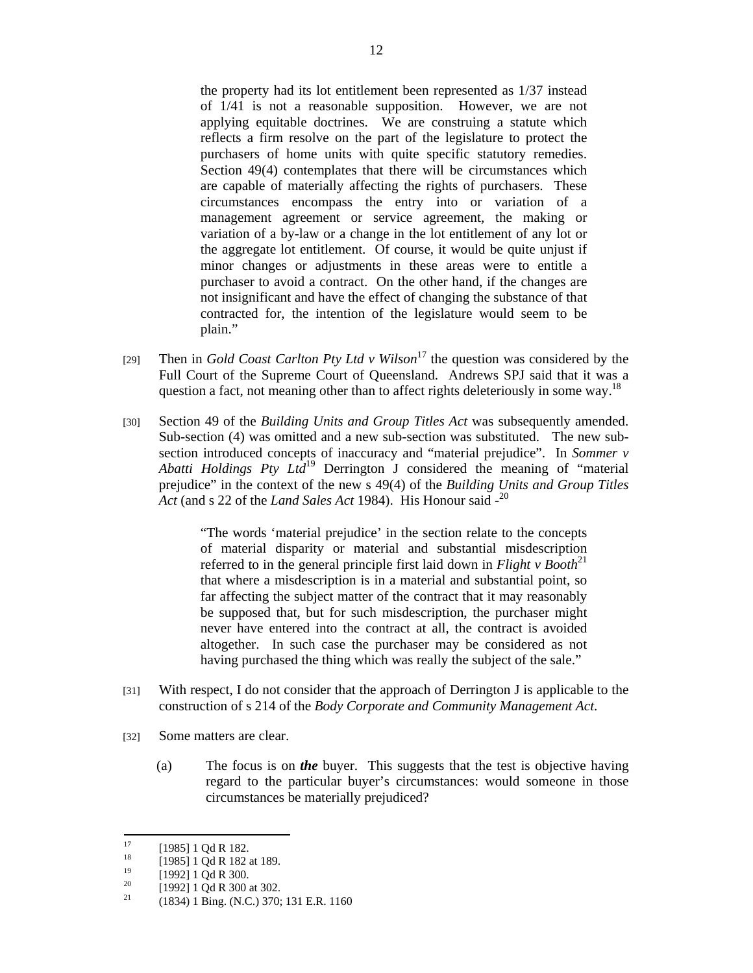the property had its lot entitlement been represented as 1/37 instead of 1/41 is not a reasonable supposition. However, we are not applying equitable doctrines. We are construing a statute which reflects a firm resolve on the part of the legislature to protect the purchasers of home units with quite specific statutory remedies. Section 49(4) contemplates that there will be circumstances which are capable of materially affecting the rights of purchasers. These circumstances encompass the entry into or variation of a management agreement or service agreement, the making or variation of a by-law or a change in the lot entitlement of any lot or the aggregate lot entitlement. Of course, it would be quite unjust if minor changes or adjustments in these areas were to entitle a purchaser to avoid a contract. On the other hand, if the changes are not insignificant and have the effect of changing the substance of that contracted for, the intention of the legislature would seem to be plain."

- [29] Then in *Gold Coast Carlton Pty Ltd v Wilson*<sup>17</sup> the question was considered by the Full Court of the Supreme Court of Queensland. Andrews SPJ said that it was a question a fact, not meaning other than to affect rights deleteriously in some way.<sup>18</sup>
- [30] Section 49 of the *Building Units and Group Titles Act* was subsequently amended. Sub-section (4) was omitted and a new sub-section was substituted. The new subsection introduced concepts of inaccuracy and "material prejudice". In *Sommer v Abatti Holdings Pty Ltd*19 Derrington J considered the meaning of "material prejudice" in the context of the new s 49(4) of the *Building Units and Group Titles*  Act (and s 22 of the *Land Sales Act* 1984). His Honour said -<sup>20</sup>

"The words 'material prejudice' in the section relate to the concepts of material disparity or material and substantial misdescription referred to in the general principle first laid down in  $Flight \, v \, Booth^{21}$ that where a misdescription is in a material and substantial point, so far affecting the subject matter of the contract that it may reasonably be supposed that, but for such misdescription, the purchaser might never have entered into the contract at all, the contract is avoided altogether. In such case the purchaser may be considered as not having purchased the thing which was really the subject of the sale."

- [31] With respect, I do not consider that the approach of Derrington J is applicable to the construction of s 214 of the *Body Corporate and Community Management Act*.
- [32] Some matters are clear.
	- (a) The focus is on *the* buyer. This suggests that the test is objective having regard to the particular buyer's circumstances: would someone in those circumstances be materially prejudiced?

 $17$  $^{17}$  [1985] 1 Qd R 182.

 $^{18}$  [1985] 1 Qd R 182 at 189.

 $^{19}$  [1992] 1 Qd R 300.

<sup>&</sup>lt;sup>20</sup> [1992] 1 Qd R 300 at 302.<br><sup>21</sup> (1824) 1 Bine (N G) 270.

<sup>21 (1834) 1</sup> Bing. (N.C.) 370; 131 E.R. 1160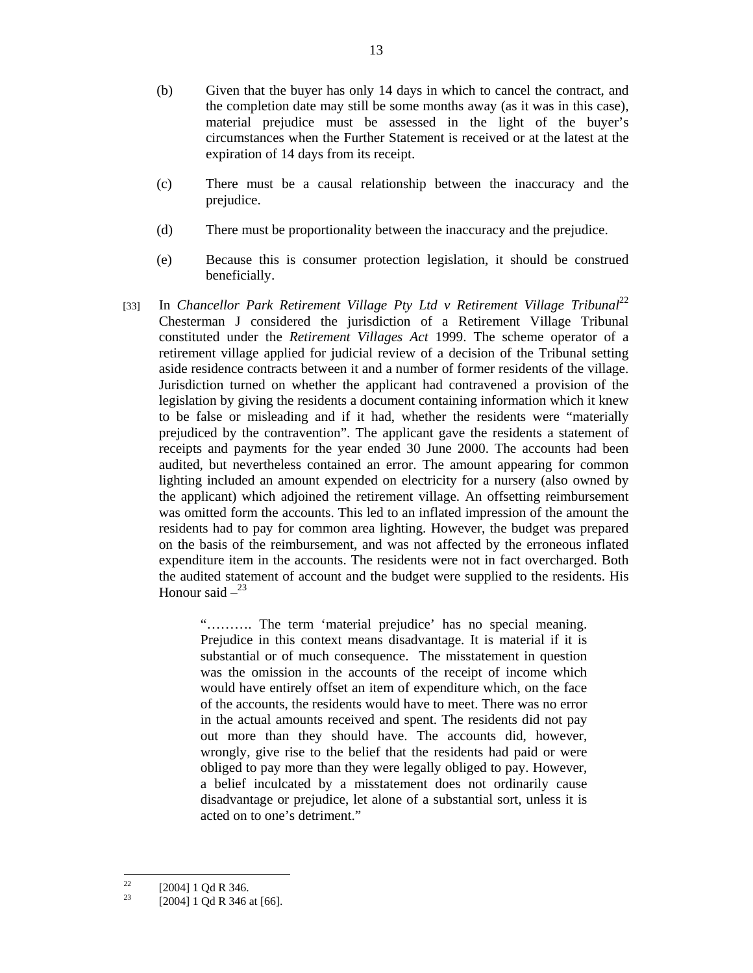- (b) Given that the buyer has only 14 days in which to cancel the contract, and the completion date may still be some months away (as it was in this case), material prejudice must be assessed in the light of the buyer's circumstances when the Further Statement is received or at the latest at the expiration of 14 days from its receipt.
- (c) There must be a causal relationship between the inaccuracy and the prejudice.
- (d) There must be proportionality between the inaccuracy and the prejudice.
- (e) Because this is consumer protection legislation, it should be construed beneficially.
- [33] In *Chancellor Park Retirement Village Pty Ltd v Retirement Village Tribunal*<sup>22</sup> Chesterman J considered the jurisdiction of a Retirement Village Tribunal constituted under the *Retirement Villages Act* 1999. The scheme operator of a retirement village applied for judicial review of a decision of the Tribunal setting aside residence contracts between it and a number of former residents of the village. Jurisdiction turned on whether the applicant had contravened a provision of the legislation by giving the residents a document containing information which it knew to be false or misleading and if it had, whether the residents were "materially prejudiced by the contravention". The applicant gave the residents a statement of receipts and payments for the year ended 30 June 2000. The accounts had been audited, but nevertheless contained an error. The amount appearing for common lighting included an amount expended on electricity for a nursery (also owned by the applicant) which adjoined the retirement village. An offsetting reimbursement was omitted form the accounts. This led to an inflated impression of the amount the residents had to pay for common area lighting. However, the budget was prepared on the basis of the reimbursement, and was not affected by the erroneous inflated expenditure item in the accounts. The residents were not in fact overcharged. Both the audited statement of account and the budget were supplied to the residents. His Honour said  $-$ <sup>23</sup>

"………. The term 'material prejudice' has no special meaning. Prejudice in this context means disadvantage. It is material if it is substantial or of much consequence. The misstatement in question was the omission in the accounts of the receipt of income which would have entirely offset an item of expenditure which, on the face of the accounts, the residents would have to meet. There was no error in the actual amounts received and spent. The residents did not pay out more than they should have. The accounts did, however, wrongly, give rise to the belief that the residents had paid or were obliged to pay more than they were legally obliged to pay. However, a belief inculcated by a misstatement does not ordinarily cause disadvantage or prejudice, let alone of a substantial sort, unless it is acted on to one's detriment."

 $22$  $\frac{22}{23}$  [2004] 1 Qd R 346.

<sup>[2004] 1</sup> Qd R 346 at [66].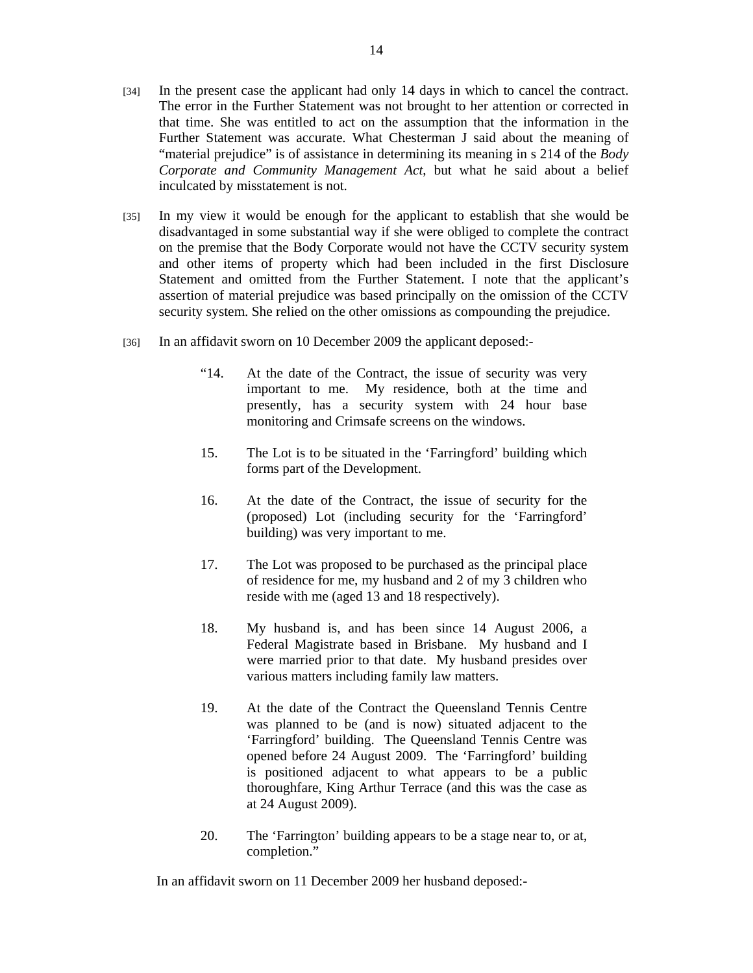- [34] In the present case the applicant had only 14 days in which to cancel the contract. The error in the Further Statement was not brought to her attention or corrected in that time. She was entitled to act on the assumption that the information in the Further Statement was accurate. What Chesterman J said about the meaning of "material prejudice" is of assistance in determining its meaning in s 214 of the *Body Corporate and Community Management Act*, but what he said about a belief inculcated by misstatement is not.
- [35] In my view it would be enough for the applicant to establish that she would be disadvantaged in some substantial way if she were obliged to complete the contract on the premise that the Body Corporate would not have the CCTV security system and other items of property which had been included in the first Disclosure Statement and omitted from the Further Statement. I note that the applicant's assertion of material prejudice was based principally on the omission of the CCTV security system. She relied on the other omissions as compounding the prejudice.
- [36] In an affidavit sworn on 10 December 2009 the applicant deposed:-
	- "14. At the date of the Contract, the issue of security was very important to me. My residence, both at the time and presently, has a security system with 24 hour base monitoring and Crimsafe screens on the windows.
	- 15. The Lot is to be situated in the 'Farringford' building which forms part of the Development.
	- 16. At the date of the Contract, the issue of security for the (proposed) Lot (including security for the 'Farringford' building) was very important to me.
	- 17. The Lot was proposed to be purchased as the principal place of residence for me, my husband and 2 of my 3 children who reside with me (aged 13 and 18 respectively).
	- 18. My husband is, and has been since 14 August 2006, a Federal Magistrate based in Brisbane. My husband and I were married prior to that date. My husband presides over various matters including family law matters.
	- 19. At the date of the Contract the Queensland Tennis Centre was planned to be (and is now) situated adjacent to the 'Farringford' building. The Queensland Tennis Centre was opened before 24 August 2009. The 'Farringford' building is positioned adjacent to what appears to be a public thoroughfare, King Arthur Terrace (and this was the case as at 24 August 2009).
	- 20. The 'Farrington' building appears to be a stage near to, or at, completion."

In an affidavit sworn on 11 December 2009 her husband deposed:-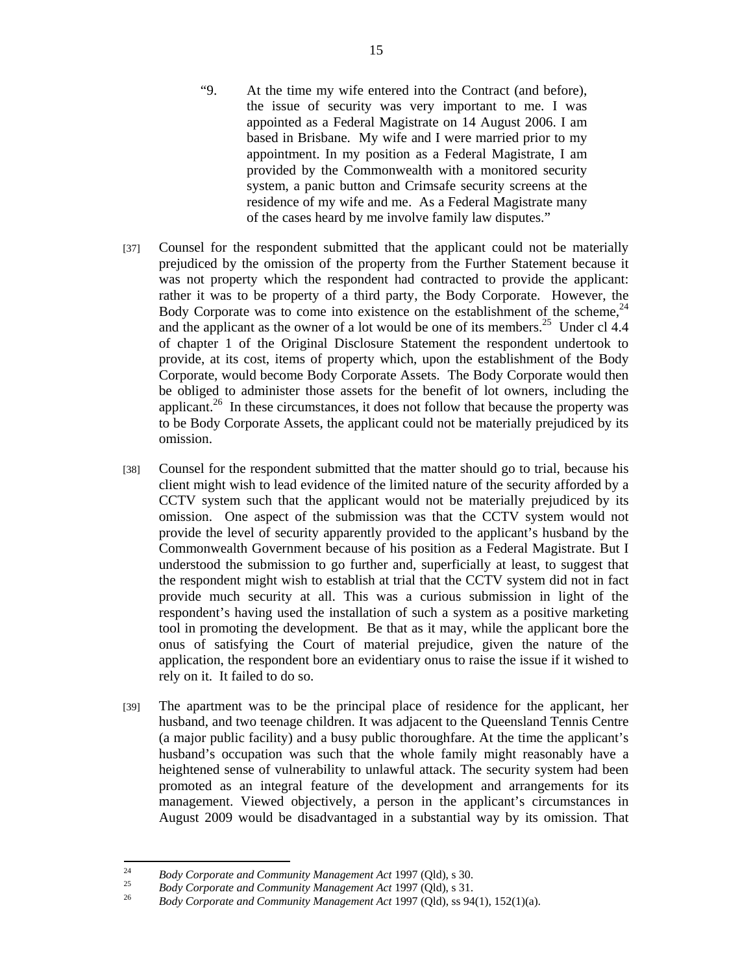- "9. At the time my wife entered into the Contract (and before), the issue of security was very important to me. I was appointed as a Federal Magistrate on 14 August 2006. I am based in Brisbane. My wife and I were married prior to my appointment. In my position as a Federal Magistrate, I am provided by the Commonwealth with a monitored security system, a panic button and Crimsafe security screens at the residence of my wife and me. As a Federal Magistrate many of the cases heard by me involve family law disputes."
- [37] Counsel for the respondent submitted that the applicant could not be materially prejudiced by the omission of the property from the Further Statement because it was not property which the respondent had contracted to provide the applicant: rather it was to be property of a third party, the Body Corporate. However, the Body Corporate was to come into existence on the establishment of the scheme,  $24$ and the applicant as the owner of a lot would be one of its members.<sup>25</sup> Under cl  $4.4$ of chapter 1 of the Original Disclosure Statement the respondent undertook to provide, at its cost, items of property which, upon the establishment of the Body Corporate, would become Body Corporate Assets. The Body Corporate would then be obliged to administer those assets for the benefit of lot owners, including the applicant.<sup>26</sup> In these circumstances, it does not follow that because the property was to be Body Corporate Assets, the applicant could not be materially prejudiced by its omission.
- [38] Counsel for the respondent submitted that the matter should go to trial, because his client might wish to lead evidence of the limited nature of the security afforded by a CCTV system such that the applicant would not be materially prejudiced by its omission. One aspect of the submission was that the CCTV system would not provide the level of security apparently provided to the applicant's husband by the Commonwealth Government because of his position as a Federal Magistrate. But I understood the submission to go further and, superficially at least, to suggest that the respondent might wish to establish at trial that the CCTV system did not in fact provide much security at all. This was a curious submission in light of the respondent's having used the installation of such a system as a positive marketing tool in promoting the development. Be that as it may, while the applicant bore the onus of satisfying the Court of material prejudice, given the nature of the application, the respondent bore an evidentiary onus to raise the issue if it wished to rely on it. It failed to do so.
- [39] The apartment was to be the principal place of residence for the applicant, her husband, and two teenage children. It was adjacent to the Queensland Tennis Centre (a major public facility) and a busy public thoroughfare. At the time the applicant's husband's occupation was such that the whole family might reasonably have a heightened sense of vulnerability to unlawful attack. The security system had been promoted as an integral feature of the development and arrangements for its management. Viewed objectively, a person in the applicant's circumstances in August 2009 would be disadvantaged in a substantial way by its omission. That

<sup>24</sup> 

<sup>&</sup>lt;sup>24</sup> Body Corporate and Community Management Act 1997 (Qld), s 30.<br><sup>25</sup> Body Corporate and Community Management Act 1997 (Qld), s 31.<br><sup>26</sup> Body Corporate and Community Management Act 1997 (Qld), ss 94(1), 152(1)(a).